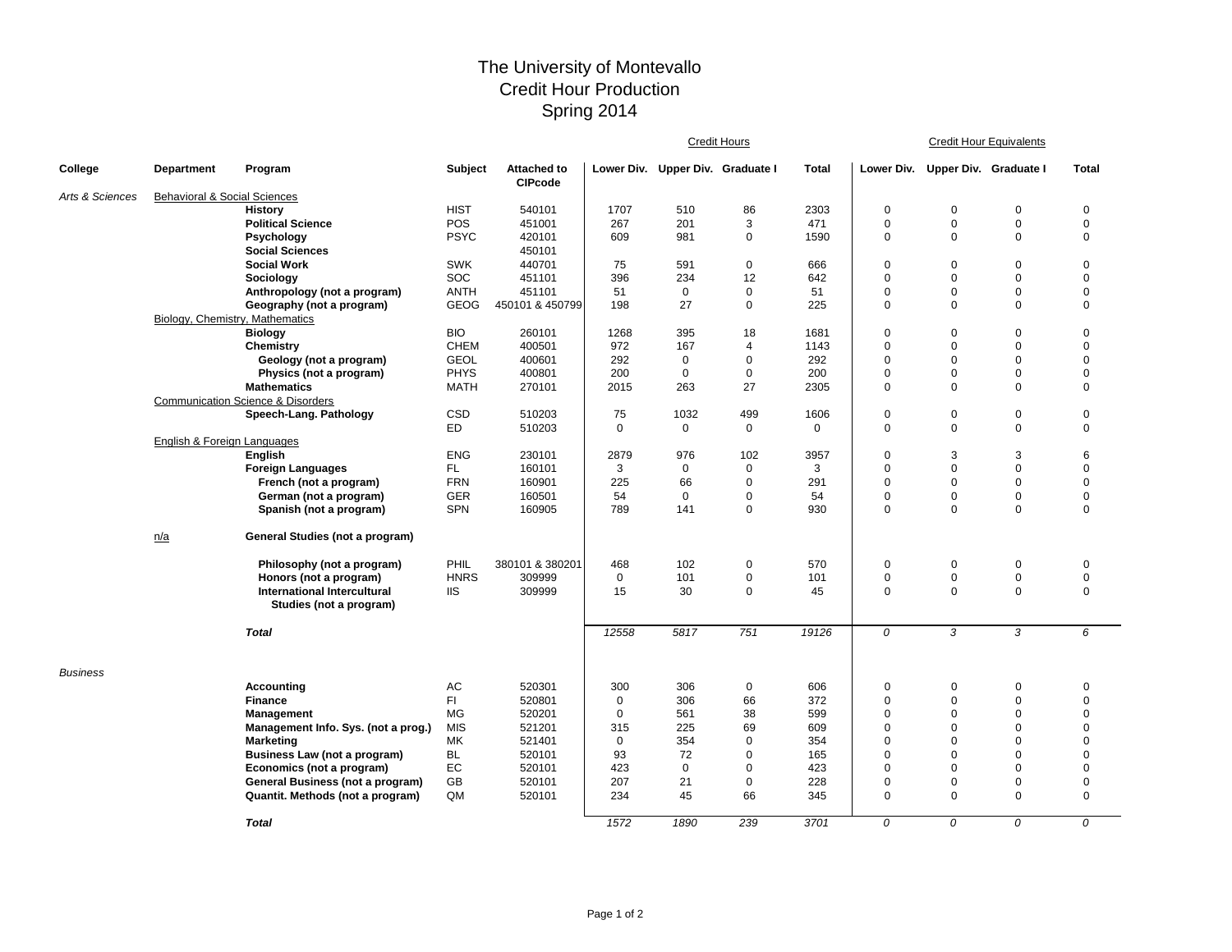## The University of Montevallo Credit Hour Production Spring 2014

|                 |                                         |                                                        |             |                                      |             |                                  | Credit Hours         |              | <b>Credit Hour Equivalents</b> |                       |                         |                            |  |
|-----------------|-----------------------------------------|--------------------------------------------------------|-------------|--------------------------------------|-------------|----------------------------------|----------------------|--------------|--------------------------------|-----------------------|-------------------------|----------------------------|--|
| College         | <b>Department</b>                       | Program                                                | Subject     | <b>Attached to</b><br><b>CIPcode</b> |             | Lower Div. Upper Div. Graduate I |                      | Total        | Lower Div.                     | Upper Div. Graduate I |                         | <b>Total</b>               |  |
| Arts & Sciences | <b>Behavioral &amp; Social Sciences</b> |                                                        |             |                                      |             |                                  |                      |              |                                |                       |                         |                            |  |
|                 |                                         | <b>History</b>                                         | <b>HIST</b> | 540101                               | 1707        | 510                              | 86                   | 2303         | $\pmb{0}$                      | $\mathbf 0$           | $\mathbf 0$             | $\pmb{0}$                  |  |
|                 |                                         | <b>Political Science</b>                               | <b>POS</b>  | 451001                               | 267         | 201                              | 3                    | 471          | $\mathbf 0$                    | $\mathbf 0$           | $\mathbf 0$             | $\mathbf 0$                |  |
|                 |                                         | Psychology                                             | <b>PSYC</b> | 420101                               | 609         | 981                              | $\mathbf 0$          | 1590         | $\mathbf 0$                    | $\Omega$              | $\mathbf 0$             | $\mathbf 0$                |  |
|                 |                                         | <b>Social Sciences</b>                                 |             | 450101                               |             |                                  |                      |              |                                |                       |                         |                            |  |
|                 |                                         | <b>Social Work</b>                                     | <b>SWK</b>  | 440701                               | 75          | 591                              | $\mathbf 0$          | 666          | $\Omega$                       | $\mathbf 0$           | $\mathbf 0$             | $\mathbf 0$                |  |
|                 |                                         | Sociology                                              | SOC         | 451101                               | 396         | 234                              | 12                   | 642          | $\mathbf 0$                    | $\Omega$              | $\mathbf 0$             | $\mathbf 0$                |  |
|                 |                                         | Anthropology (not a program)                           | <b>ANTH</b> | 451101                               | 51          | $\mathbf 0$                      | $\mathbf 0$          | 51           | $\mathbf 0$                    | $\mathbf 0$           | $\mathbf 0$             | $\mathbf 0$                |  |
|                 |                                         | Geography (not a program)                              | <b>GEOG</b> | 450101 & 450799                      | 198         | 27                               | $\mathbf 0$          | 225          | $\mathbf 0$                    | $\mathbf 0$           | $\mathbf 0$             | $\mathbf 0$                |  |
|                 | Biology, Chemistry, Mathematics         |                                                        | <b>BIO</b>  |                                      |             |                                  |                      |              |                                |                       |                         |                            |  |
|                 |                                         | <b>Biology</b>                                         | <b>CHEM</b> | 260101<br>400501                     | 1268<br>972 | 395<br>167                       | 18<br>$\overline{4}$ | 1681<br>1143 | $\mathbf 0$<br>$\Omega$        | 0<br>$\Omega$         | $\mathbf 0$<br>$\Omega$ | $\mathbf 0$<br>$\mathbf 0$ |  |
|                 |                                         | Chemistry<br>Geology (not a program)                   | <b>GEOL</b> | 400601                               | 292         | $\mathbf 0$                      | $\mathbf 0$          | 292          | $\Omega$                       | $\Omega$              | $\mathbf 0$             | $\mathbf 0$                |  |
|                 |                                         | Physics (not a program)                                | <b>PHYS</b> | 400801                               | 200         | 0                                | $\mathbf 0$          | 200          | $\overline{0}$                 | 0                     | $\mathbf 0$             | $\mathbf 0$                |  |
|                 |                                         | <b>Mathematics</b>                                     | MATH        | 270101                               | 2015        | 263                              | 27                   | 2305         | $\mathbf 0$                    | $\Omega$              | $\mathbf 0$             | $\mathbf 0$                |  |
|                 |                                         | <b>Communication Science &amp; Disorders</b>           |             |                                      |             |                                  |                      |              |                                |                       |                         |                            |  |
|                 |                                         | Speech-Lang. Pathology                                 | CSD         | 510203                               | 75          | 1032                             | 499                  | 1606         | $\pmb{0}$                      | $\mathbf 0$           | $\mathbf 0$             | $\pmb{0}$                  |  |
|                 |                                         |                                                        | ED.         | 510203                               | $\mathbf 0$ | $\mathbf 0$                      | $\mathbf 0$          | $\mathbf 0$  | $\mathbf 0$                    | $\mathbf 0$           | $\mathbf 0$             | $\mathbf 0$                |  |
|                 | English & Foreign Languages             |                                                        |             |                                      |             |                                  |                      |              |                                |                       |                         |                            |  |
|                 |                                         | <b>English</b>                                         | <b>ENG</b>  | 230101                               | 2879        | 976                              | 102                  | 3957         | $\mathbf 0$                    | 3                     | 3                       | $6\phantom{1}6$            |  |
|                 |                                         | <b>Foreign Languages</b>                               | FL.         | 160101                               | 3           | $\mathbf 0$                      | 0                    | 3            | $\mathbf 0$                    | $\mathbf 0$           | $\mathbf 0$             | $\mathbf 0$                |  |
|                 |                                         | French (not a program)                                 | <b>FRN</b>  | 160901                               | 225         | 66                               | $\mathbf 0$          | 291          | $\mathbf 0$                    | $\Omega$              | $\mathbf 0$             | $\mathbf 0$                |  |
|                 |                                         | German (not a program)                                 | <b>GER</b>  | 160501                               | 54          | $\mathbf 0$                      | $\mathbf 0$          | 54           | $\mathbf 0$                    | $\mathbf 0$           | $\mathbf 0$             | $\mathbf 0$                |  |
|                 |                                         | Spanish (not a program)                                | <b>SPN</b>  | 160905                               | 789         | 141                              | $\mathbf 0$          | 930          | $\mathbf 0$                    | $\Omega$              | $\mathbf 0$             | $\mathbf 0$                |  |
|                 |                                         |                                                        |             |                                      |             |                                  |                      |              |                                |                       |                         |                            |  |
|                 | n/a                                     | General Studies (not a program)                        |             |                                      |             |                                  |                      |              |                                |                       |                         |                            |  |
|                 |                                         | Philosophy (not a program)                             | PHIL        | 380101 & 380201                      | 468         | 102                              | $\mathbf 0$          | 570          | $\mathbf 0$                    | $\mathbf 0$           | $\mathbf 0$             | $\mathbf 0$                |  |
|                 |                                         | Honors (not a program)                                 | <b>HNRS</b> | 309999                               | $\mathbf 0$ | 101                              | $\mathbf 0$          | 101          | $\mathbf 0$                    | $\mathbf 0$           | $\mathbf 0$             | $\pmb{0}$                  |  |
|                 |                                         | International Intercultural<br>Studies (not a program) | <b>IIS</b>  | 309999                               | 15          | 30                               | $\pmb{0}$            | 45           | $\mathbf 0$                    | $\Omega$              | $\mathbf 0$             | $\mathbf 0$                |  |
|                 |                                         |                                                        |             |                                      |             |                                  |                      |              |                                |                       |                         |                            |  |
|                 |                                         | <b>Total</b>                                           |             |                                      | 12558       | 5817                             | 751                  | 19126        | 0                              | 3                     | 3                       | 6                          |  |
| <b>Business</b> |                                         |                                                        |             |                                      |             |                                  |                      |              |                                |                       |                         |                            |  |
|                 |                                         | <b>Accounting</b>                                      | AC          | 520301                               | 300         | 306                              | 0                    | 606          | $\mathbf 0$                    | 0                     | $\mathbf 0$             | $\mathbf 0$                |  |
|                 |                                         | <b>Finance</b>                                         | FI          | 520801                               | $\mathbf 0$ | 306                              | 66                   | 372          | $\mathbf 0$                    | $\mathbf 0$           | $\mathbf 0$             | $\mathbf 0$                |  |
|                 |                                         | <b>Management</b>                                      | <b>MG</b>   | 520201                               | $\mathbf 0$ | 561                              | 38                   | 599          | $\mathbf 0$                    | $\Omega$              | $\mathbf 0$             | $\mathbf 0$                |  |
|                 |                                         | Management Info. Sys. (not a prog.)                    | <b>MIS</b>  | 521201                               | 315         | 225                              | 69                   | 609          | $\Omega$                       | $\Omega$              | $\Omega$                | $\Omega$                   |  |
|                 |                                         | <b>Marketing</b>                                       | <b>MK</b>   | 521401                               | $\mathbf 0$ | 354                              | $\mathbf 0$          | 354          | $\Omega$                       | $\Omega$              | $\Omega$                | $\Omega$                   |  |
|                 |                                         | Business Law (not a program)                           | <b>BL</b>   | 520101                               | 93          | 72                               | $\mathbf 0$          | 165          | $\Omega$                       | $\Omega$              | $\Omega$                | $\mathbf 0$                |  |
|                 |                                         | Economics (not a program)                              | EC          | 520101                               | 423         | $\mathbf 0$                      | $\mathbf 0$          | 423          | $\Omega$                       | $\Omega$              | $\Omega$                | $\mathbf 0$                |  |
|                 |                                         | General Business (not a program)                       | GB          | 520101                               | 207         | 21                               | 0                    | 228          | $\mathbf 0$                    | 0                     | $\mathbf 0$             | $\mathbf 0$                |  |
|                 |                                         | Quantit. Methods (not a program)                       | QM          | 520101                               | 234         | 45                               | 66                   | 345          | $\mathbf 0$                    | $\mathbf 0$           | $\mathbf 0$             | $\mathbf 0$                |  |
|                 |                                         | <b>Total</b>                                           |             |                                      | 1572        | 1890                             | 239                  | 3701         | 0                              | 0                     | $\Omega$                | 0                          |  |